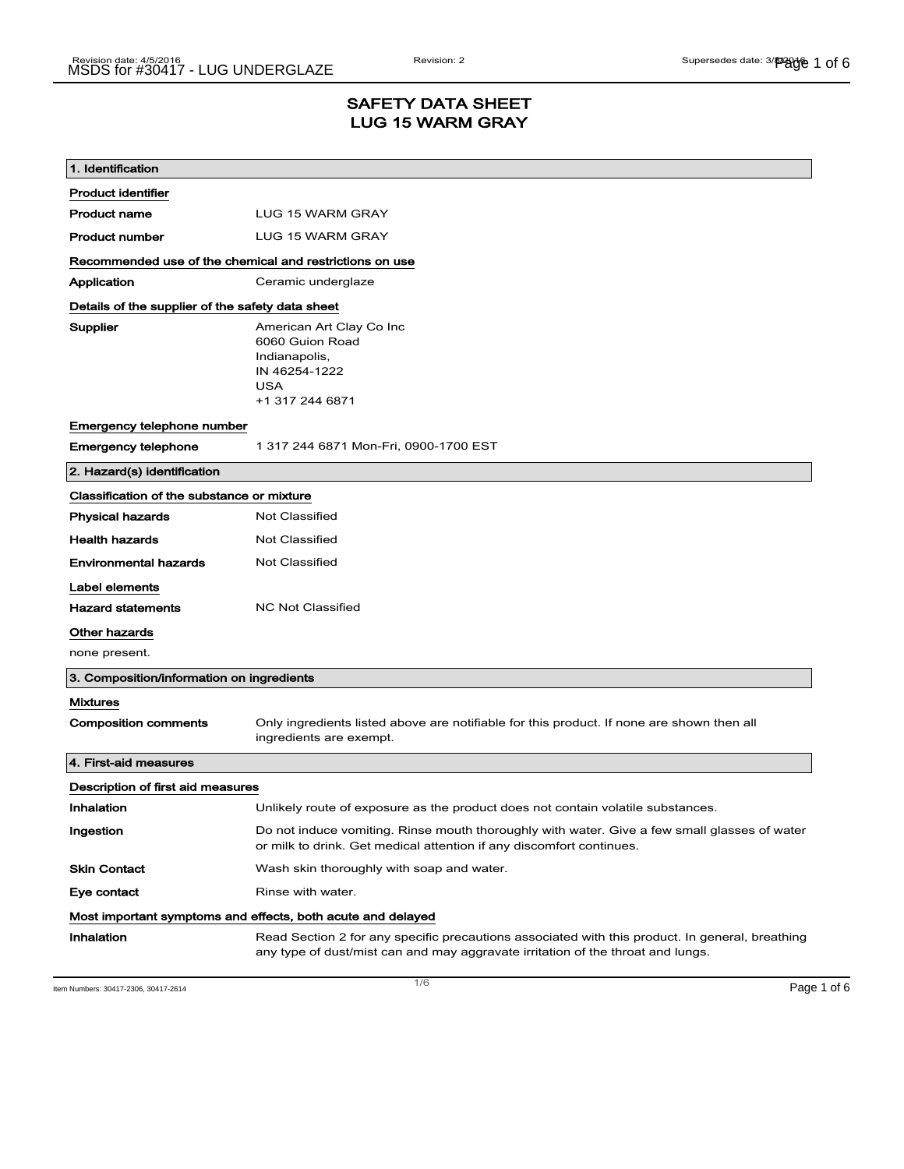## SAFETY DATA SHEET LUG 15 WARM GRAY

| 1. Identification                                           |                                                                                                                                                                                    |  |
|-------------------------------------------------------------|------------------------------------------------------------------------------------------------------------------------------------------------------------------------------------|--|
| <b>Product identifier</b>                                   |                                                                                                                                                                                    |  |
| <b>Product name</b>                                         | LUG 15 WARM GRAY                                                                                                                                                                   |  |
| <b>Product number</b>                                       | LUG 15 WARM GRAY                                                                                                                                                                   |  |
| Recommended use of the chemical and restrictions on use     |                                                                                                                                                                                    |  |
| Application                                                 | Ceramic underglaze                                                                                                                                                                 |  |
| Details of the supplier of the safety data sheet            |                                                                                                                                                                                    |  |
| Supplier                                                    | American Art Clay Co Inc<br>6060 Guion Road<br>Indianapolis,<br>IN 46254-1222<br><b>USA</b><br>+1 317 244 6871                                                                     |  |
| Emergency telephone number                                  |                                                                                                                                                                                    |  |
| <b>Emergency telephone</b>                                  | 1 317 244 6871 Mon-Fri, 0900-1700 EST                                                                                                                                              |  |
| 2. Hazard(s) identification                                 |                                                                                                                                                                                    |  |
| Classification of the substance or mixture                  |                                                                                                                                                                                    |  |
| <b>Physical hazards</b>                                     | <b>Not Classified</b>                                                                                                                                                              |  |
| <b>Health hazards</b>                                       | <b>Not Classified</b>                                                                                                                                                              |  |
| <b>Environmental hazards</b>                                | Not Classified                                                                                                                                                                     |  |
| Label elements                                              |                                                                                                                                                                                    |  |
| <b>Hazard statements</b>                                    | <b>NC Not Classified</b>                                                                                                                                                           |  |
| Other hazards                                               |                                                                                                                                                                                    |  |
| none present.                                               |                                                                                                                                                                                    |  |
| 3. Composition/information on ingredients                   |                                                                                                                                                                                    |  |
| <b>Mixtures</b>                                             |                                                                                                                                                                                    |  |
| <b>Composition comments</b>                                 | Only ingredients listed above are notifiable for this product. If none are shown then all<br>ingredients are exempt.                                                               |  |
| 4. First-aid measures                                       |                                                                                                                                                                                    |  |
| Description of first aid measures                           |                                                                                                                                                                                    |  |
| Inhalation                                                  | Unlikely route of exposure as the product does not contain volatile substances.                                                                                                    |  |
| Ingestion                                                   | Do not induce vomiting. Rinse mouth thoroughly with water. Give a few small glasses of water<br>or milk to drink. Get medical attention if any discomfort continues.               |  |
| <b>Skin Contact</b>                                         | Wash skin thoroughly with soap and water.                                                                                                                                          |  |
| Eye contact                                                 | Rinse with water.                                                                                                                                                                  |  |
| Most important symptoms and effects, both acute and delayed |                                                                                                                                                                                    |  |
| Inhalation                                                  | Read Section 2 for any specific precautions associated with this product. In general, breathing<br>any type of dust/mist can and may aggravate irritation of the throat and lungs. |  |

Item Numbers: 30417-2306, 30417-2614  $\blacksquare$   $\blacksquare$   $\blacksquare$   $\blacksquare$   $\blacksquare$   $\blacksquare$   $\blacksquare$   $\blacksquare$   $\blacksquare$   $\blacksquare$   $\blacksquare$   $\blacksquare$   $\blacksquare$   $\blacksquare$   $\blacksquare$   $\blacksquare$   $\blacksquare$   $\blacksquare$   $\blacksquare$   $\blacksquare$   $\blacksquare$   $\blacksquare$   $\blacksquare$   $\blacksquare$   $\blacksquare$   $\blacksquare$   $\$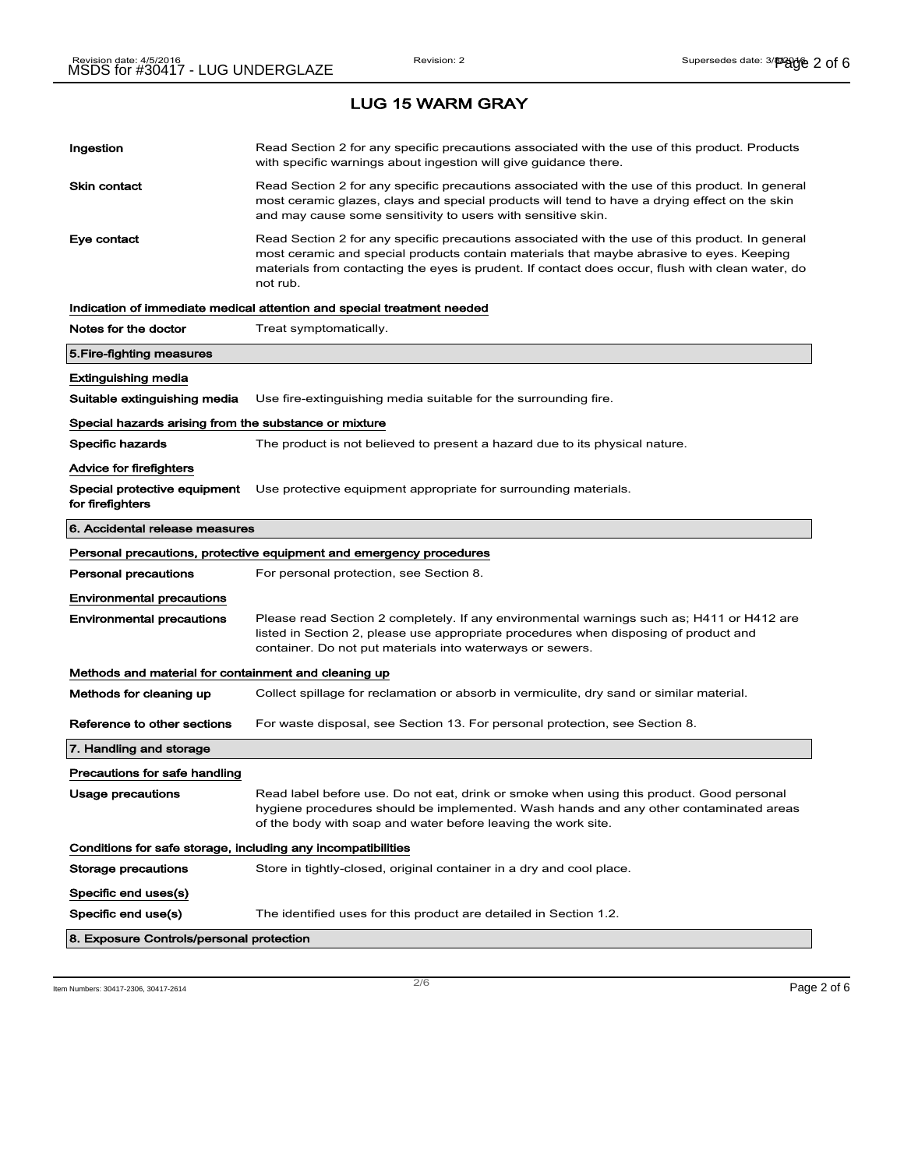| Ingestion                                                    | Read Section 2 for any specific precautions associated with the use of this product. Products<br>with specific warnings about ingestion will give guidance there.                                                                                                                                           |  |
|--------------------------------------------------------------|-------------------------------------------------------------------------------------------------------------------------------------------------------------------------------------------------------------------------------------------------------------------------------------------------------------|--|
| <b>Skin contact</b>                                          | Read Section 2 for any specific precautions associated with the use of this product. In general<br>most ceramic glazes, clays and special products will tend to have a drying effect on the skin<br>and may cause some sensitivity to users with sensitive skin.                                            |  |
| Eye contact                                                  | Read Section 2 for any specific precautions associated with the use of this product. In general<br>most ceramic and special products contain materials that maybe abrasive to eyes. Keeping<br>materials from contacting the eyes is prudent. If contact does occur, flush with clean water, do<br>not rub. |  |
|                                                              | Indication of immediate medical attention and special treatment needed                                                                                                                                                                                                                                      |  |
| Notes for the doctor                                         | Treat symptomatically.                                                                                                                                                                                                                                                                                      |  |
| 5. Fire-fighting measures                                    |                                                                                                                                                                                                                                                                                                             |  |
| Extinguishing media                                          |                                                                                                                                                                                                                                                                                                             |  |
| Suitable extinguishing media                                 | Use fire-extinguishing media suitable for the surrounding fire.                                                                                                                                                                                                                                             |  |
| Special hazards arising from the substance or mixture        |                                                                                                                                                                                                                                                                                                             |  |
| Specific hazards                                             | The product is not believed to present a hazard due to its physical nature.                                                                                                                                                                                                                                 |  |
| Advice for firefighters                                      |                                                                                                                                                                                                                                                                                                             |  |
| Special protective equipment<br>for firefighters             | Use protective equipment appropriate for surrounding materials.                                                                                                                                                                                                                                             |  |
| 6. Accidental release measures                               |                                                                                                                                                                                                                                                                                                             |  |
|                                                              | Personal precautions, protective equipment and emergency procedures                                                                                                                                                                                                                                         |  |
| <b>Personal precautions</b>                                  | For personal protection, see Section 8.                                                                                                                                                                                                                                                                     |  |
| <b>Environmental precautions</b>                             |                                                                                                                                                                                                                                                                                                             |  |
| <b>Environmental precautions</b>                             | Please read Section 2 completely. If any environmental warnings such as; H411 or H412 are<br>listed in Section 2, please use appropriate procedures when disposing of product and<br>container. Do not put materials into waterways or sewers.                                                              |  |
| Methods and material for containment and cleaning up         |                                                                                                                                                                                                                                                                                                             |  |
| Methods for cleaning up                                      | Collect spillage for reclamation or absorb in vermiculite, dry sand or similar material.                                                                                                                                                                                                                    |  |
| Reference to other sections                                  | For waste disposal, see Section 13. For personal protection, see Section 8.                                                                                                                                                                                                                                 |  |
| 7. Handling and storage                                      |                                                                                                                                                                                                                                                                                                             |  |
| Precautions for safe handling                                |                                                                                                                                                                                                                                                                                                             |  |
| Usage precautions                                            | Read label before use. Do not eat, drink or smoke when using this product. Good personal<br>hygiene procedures should be implemented. Wash hands and any other contaminated areas<br>of the body with soap and water before leaving the work site.                                                          |  |
| Conditions for safe storage, including any incompatibilities |                                                                                                                                                                                                                                                                                                             |  |
| <b>Storage precautions</b>                                   | Store in tightly-closed, original container in a dry and cool place.                                                                                                                                                                                                                                        |  |
| Specific end uses(s)                                         |                                                                                                                                                                                                                                                                                                             |  |
| Specific end use(s)                                          | The identified uses for this product are detailed in Section 1.2.                                                                                                                                                                                                                                           |  |
| 8. Exposure Controls/personal protection                     |                                                                                                                                                                                                                                                                                                             |  |
|                                                              |                                                                                                                                                                                                                                                                                                             |  |

Item Numbers: 30417-2306, 30417-2614 Page 2 of 6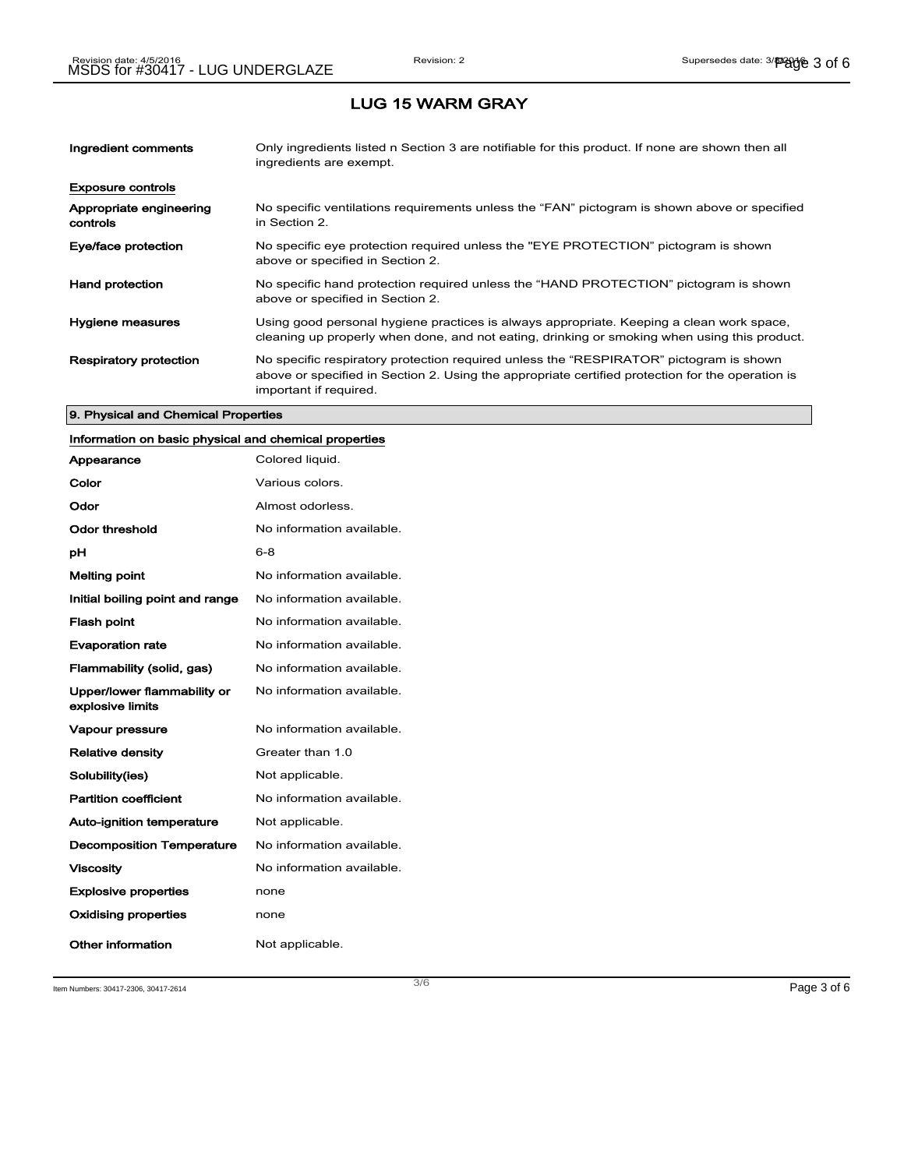| Ingredient comments                 | Only ingredients listed n Section 3 are notifiable for this product. If none are shown then all<br>ingredients are exempt.                                                                                           |
|-------------------------------------|----------------------------------------------------------------------------------------------------------------------------------------------------------------------------------------------------------------------|
| <b>Exposure controls</b>            |                                                                                                                                                                                                                      |
| Appropriate engineering<br>controls | No specific ventilations requirements unless the "FAN" pictogram is shown above or specified<br>in Section 2.                                                                                                        |
| Eye/face protection                 | No specific eye protection required unless the "EYE PROTECTION" pictogram is shown<br>above or specified in Section 2.                                                                                               |
| <b>Hand protection</b>              | No specific hand protection required unless the "HAND PROTECTION" pictogram is shown<br>above or specified in Section 2.                                                                                             |
| Hygiene measures                    | Using good personal hygiene practices is always appropriate. Keeping a clean work space,<br>cleaning up properly when done, and not eating, drinking or smoking when using this product.                             |
| <b>Respiratory protection</b>       | No specific respiratory protection required unless the "RESPIRATOR" pictogram is shown<br>above or specified in Section 2. Using the appropriate certified protection for the operation is<br>important if required. |

### 9. Physical and Chemical Properties

## Information on basic physical and chemical properties

| Appearance                                      | Colored liquid.           |
|-------------------------------------------------|---------------------------|
| Color                                           | Various colors.           |
| Odor                                            | Almost odorless.          |
| Odor threshold                                  | No information available. |
| рH                                              | $6 - 8$                   |
| <b>Melting point</b>                            | No information available. |
| Initial boiling point and range                 | No information available. |
| <b>Flash point</b>                              | No information available. |
| <b>Evaporation rate</b>                         | No information available. |
| Flammability (solid, gas)                       | No information available. |
| Upper/lower flammability or<br>explosive limits | No information available. |
| <b>Vapour pressure</b>                          | No information available. |
| <b>Relative density</b>                         | Greater than 1.0          |
| Solubility(ies)                                 | Not applicable.           |
| <b>Partition coefficient</b>                    | No information available. |
| <b>Auto-ignition temperature</b>                | Not applicable.           |
| <b>Decomposition Temperature</b>                | No information available. |
| <b>Viscosity</b>                                | No information available. |
| <b>Explosive properties</b>                     | none                      |
| Oxidising properties                            | none                      |
| Other information                               | Not applicable.           |

Item Numbers: 30417-2306, 30417-2614 Page 3 of 6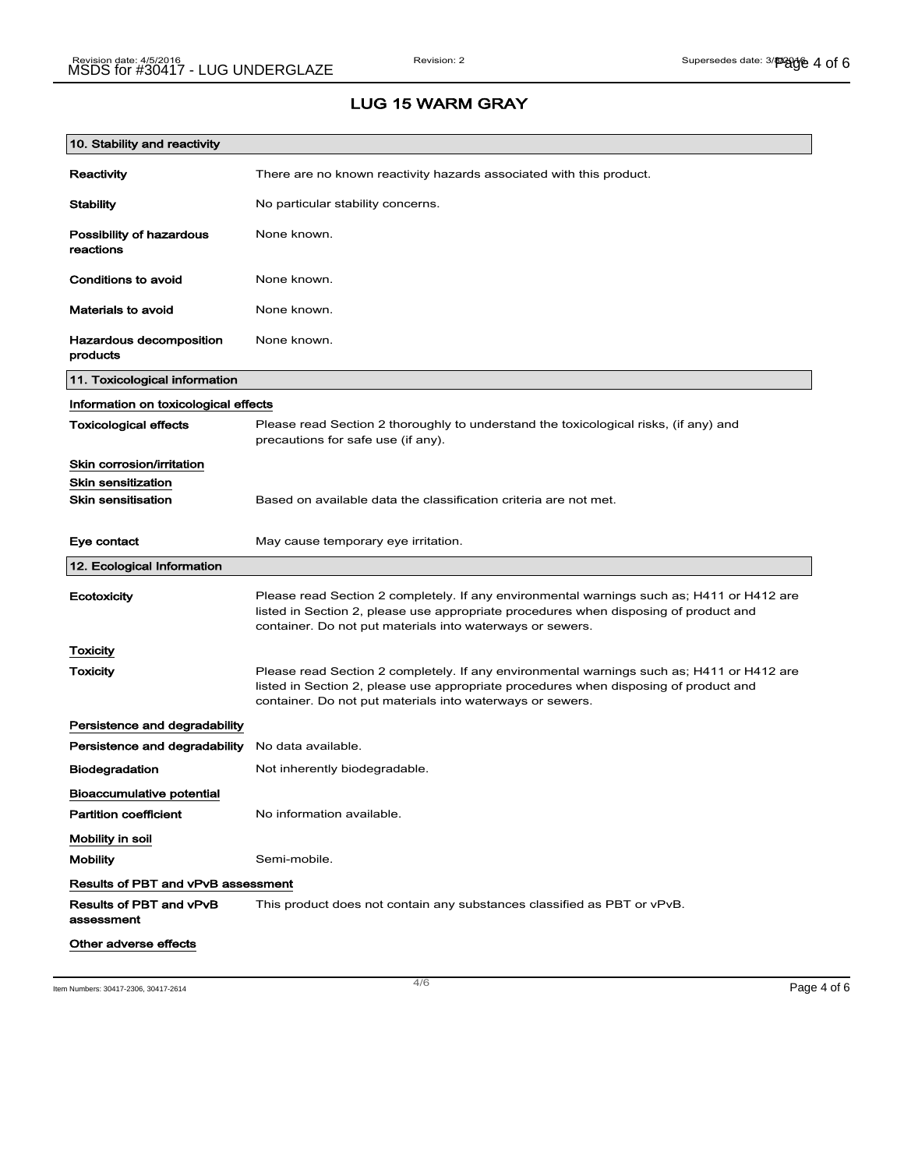| 10. Stability and reactivity              |                                                                                                                                                                                                                                                |
|-------------------------------------------|------------------------------------------------------------------------------------------------------------------------------------------------------------------------------------------------------------------------------------------------|
| Reactivity                                | There are no known reactivity hazards associated with this product.                                                                                                                                                                            |
| Stability                                 | No particular stability concerns.                                                                                                                                                                                                              |
| Possibility of hazardous<br>reactions     | None known.                                                                                                                                                                                                                                    |
| Conditions to avoid                       | None known.                                                                                                                                                                                                                                    |
| Materials to avoid                        | None known.                                                                                                                                                                                                                                    |
| Hazardous decomposition<br>products       | None known.                                                                                                                                                                                                                                    |
| 11. Toxicological information             |                                                                                                                                                                                                                                                |
| Information on toxicological effects      |                                                                                                                                                                                                                                                |
| <b>Toxicological effects</b>              | Please read Section 2 thoroughly to understand the toxicological risks, (if any) and<br>precautions for safe use (if any).                                                                                                                     |
| Skin corrosion/irritation                 |                                                                                                                                                                                                                                                |
| <b>Skin sensitization</b>                 |                                                                                                                                                                                                                                                |
| <b>Skin sensitisation</b>                 | Based on available data the classification criteria are not met.                                                                                                                                                                               |
| Eye contact                               | May cause temporary eye irritation.                                                                                                                                                                                                            |
|                                           |                                                                                                                                                                                                                                                |
| 12. Ecological Information                |                                                                                                                                                                                                                                                |
| Ecotoxicity                               | Please read Section 2 completely. If any environmental warnings such as; H411 or H412 are<br>listed in Section 2, please use appropriate procedures when disposing of product and<br>container. Do not put materials into waterways or sewers. |
| Toxicity                                  |                                                                                                                                                                                                                                                |
| Toxicity                                  | Please read Section 2 completely. If any environmental warnings such as; H411 or H412 are<br>listed in Section 2, please use appropriate procedures when disposing of product and<br>container. Do not put materials into waterways or sewers. |
| Persistence and degradability             |                                                                                                                                                                                                                                                |
| Persistence and degradability             | No data available.                                                                                                                                                                                                                             |
| <b>Biodegradation</b>                     | Not inherently biodegradable.                                                                                                                                                                                                                  |
| <b>Bioaccumulative potential</b>          |                                                                                                                                                                                                                                                |
| <b>Partition coefficient</b>              | No information available.                                                                                                                                                                                                                      |
| Mobility in soil                          |                                                                                                                                                                                                                                                |
| <b>Mobility</b>                           | Semi-mobile.                                                                                                                                                                                                                                   |
| <b>Results of PBT and vPvB assessment</b> |                                                                                                                                                                                                                                                |
| Results of PBT and vPvB<br>assessment     | This product does not contain any substances classified as PBT or vPvB.                                                                                                                                                                        |

Item Numbers: 30417-2306, 30417-2614  $\overline{4/6}$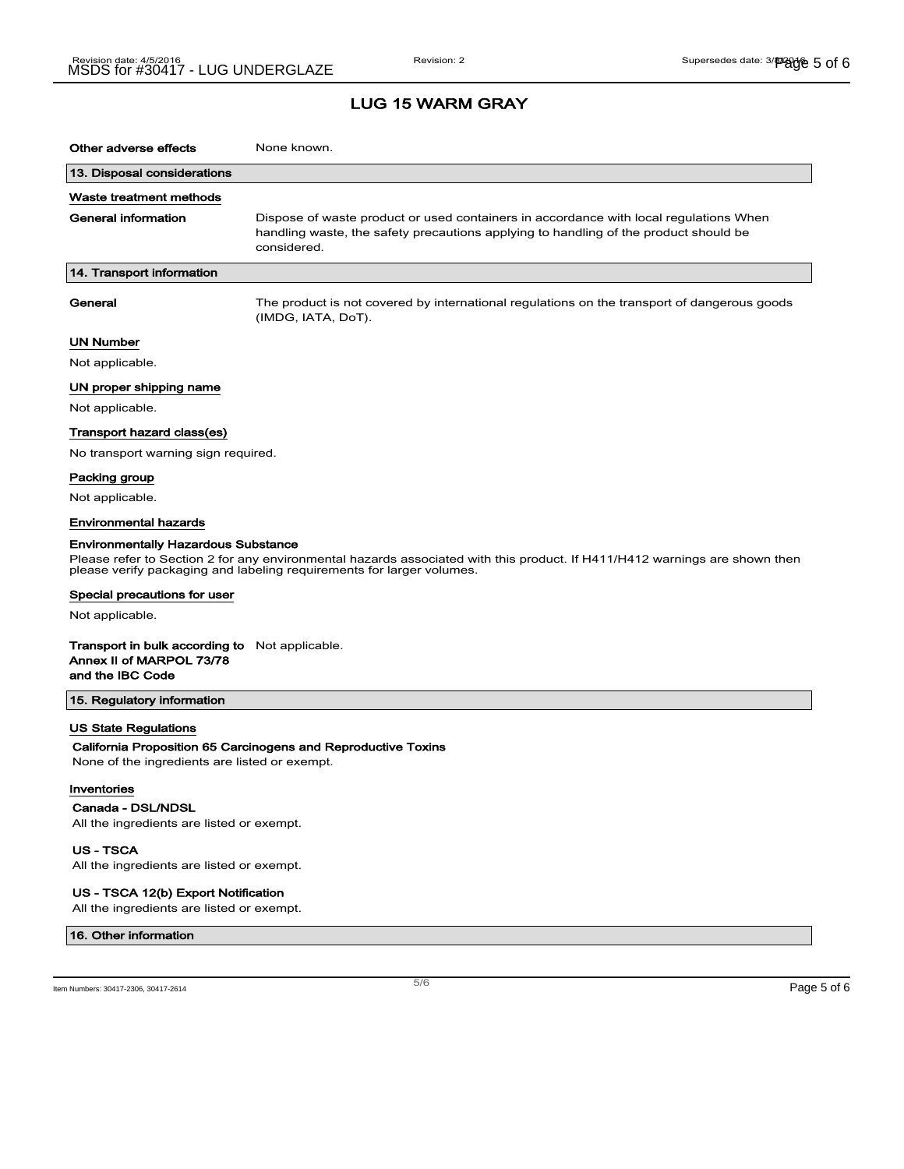## LUG 15 WARM GRAY

| Other adverse effects                                                                                                                                                                                                                             | None known.                                                                                                                                                                                  |  |
|---------------------------------------------------------------------------------------------------------------------------------------------------------------------------------------------------------------------------------------------------|----------------------------------------------------------------------------------------------------------------------------------------------------------------------------------------------|--|
| 13. Disposal considerations                                                                                                                                                                                                                       |                                                                                                                                                                                              |  |
| Waste treatment methods                                                                                                                                                                                                                           |                                                                                                                                                                                              |  |
| General information                                                                                                                                                                                                                               | Dispose of waste product or used containers in accordance with local regulations When<br>handling waste, the safety precautions applying to handling of the product should be<br>considered. |  |
| 14. Transport information                                                                                                                                                                                                                         |                                                                                                                                                                                              |  |
| General                                                                                                                                                                                                                                           | The product is not covered by international regulations on the transport of dangerous goods<br>(IMDG, IATA, DoT).                                                                            |  |
| UN Number                                                                                                                                                                                                                                         |                                                                                                                                                                                              |  |
| Not applicable.                                                                                                                                                                                                                                   |                                                                                                                                                                                              |  |
| UN proper shipping name                                                                                                                                                                                                                           |                                                                                                                                                                                              |  |
| Not applicable.                                                                                                                                                                                                                                   |                                                                                                                                                                                              |  |
| Transport hazard class(es)                                                                                                                                                                                                                        |                                                                                                                                                                                              |  |
| No transport warning sign required.                                                                                                                                                                                                               |                                                                                                                                                                                              |  |
| Packing group                                                                                                                                                                                                                                     |                                                                                                                                                                                              |  |
| Not applicable.                                                                                                                                                                                                                                   |                                                                                                                                                                                              |  |
| <b>Environmental hazards</b>                                                                                                                                                                                                                      |                                                                                                                                                                                              |  |
| <b>Environmentally Hazardous Substance</b><br>Please refer to Section 2 for any environmental hazards associated with this product. If H411/H412 warnings are shown then<br>please verify packaging and labeling requirements for larger volumes. |                                                                                                                                                                                              |  |
| Special precautions for user                                                                                                                                                                                                                      |                                                                                                                                                                                              |  |
| Not applicable.                                                                                                                                                                                                                                   |                                                                                                                                                                                              |  |
| <b>Transport in bulk according to</b> Not applicable.<br>Annex II of MARPOL 73/78<br>and the IBC Code                                                                                                                                             |                                                                                                                                                                                              |  |
| 15. Regulatory information                                                                                                                                                                                                                        |                                                                                                                                                                                              |  |
| <b>US State Regulations</b>                                                                                                                                                                                                                       |                                                                                                                                                                                              |  |
| California Proposition 65 Carcinogens and Reproductive Toxins                                                                                                                                                                                     |                                                                                                                                                                                              |  |
| None of the ingredients are listed or exempt.                                                                                                                                                                                                     |                                                                                                                                                                                              |  |
| Inventories                                                                                                                                                                                                                                       |                                                                                                                                                                                              |  |
| Canada - DSL/NDSL<br>All the ingredients are listed or exempt.                                                                                                                                                                                    |                                                                                                                                                                                              |  |
| US - TSCA                                                                                                                                                                                                                                         |                                                                                                                                                                                              |  |

All the ingredients are listed or exempt.

### US - TSCA 12(b) Export Notification

All the ingredients are listed or exempt.

#### 16. Other information